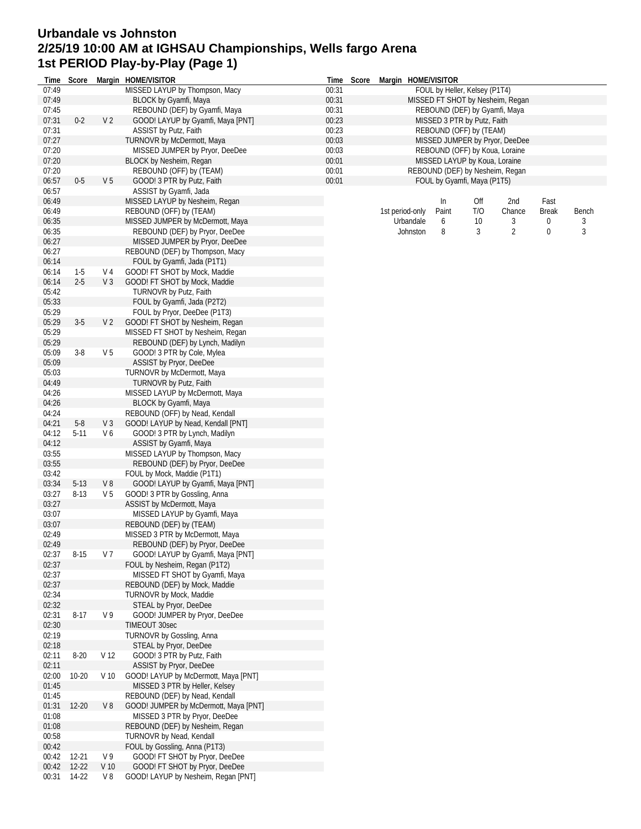## **Urbandale vs Johnston 2/25/19 10:00 AM at IGHSAU Championships, Wells fargo Arena 1st PERIOD Play-by-Play (Page 1)**

| Time           | Score     |                 | Margin HOME/VISITOR                                              |                | Time Score | Margin HOME/VISITOR |           |                                                                 |     |                                  |              |       |
|----------------|-----------|-----------------|------------------------------------------------------------------|----------------|------------|---------------------|-----------|-----------------------------------------------------------------|-----|----------------------------------|--------------|-------|
| 07:49          |           |                 | MISSED LAYUP by Thompson, Macy                                   | 00:31          |            |                     |           | FOUL by Heller, Kelsey (P1T4)                                   |     |                                  |              |       |
| 07:49          |           |                 | BLOCK by Gyamfi, Maya                                            | 00:31          |            |                     |           |                                                                 |     | MISSED FT SHOT by Nesheim, Regan |              |       |
| 07:45          |           |                 | REBOUND (DEF) by Gyamfi, Maya                                    | 00:31          |            |                     |           | REBOUND (DEF) by Gyamfi, Maya                                   |     |                                  |              |       |
| 07:31          | $0 - 2$   | V <sub>2</sub>  | GOOD! LAYUP by Gyamfi, Maya [PNT]                                | 00:23          |            |                     |           | MISSED 3 PTR by Putz, Faith                                     |     |                                  |              |       |
| 07:31          |           |                 | ASSIST by Putz, Faith                                            | 00:23          |            |                     |           | REBOUND (OFF) by (TEAM)                                         |     |                                  |              |       |
| 07:27<br>07:20 |           |                 | TURNOVR by McDermott, Maya                                       | 00:03<br>00:03 |            |                     |           |                                                                 |     | MISSED JUMPER by Pryor, DeeDee   |              |       |
| 07:20          |           |                 | MISSED JUMPER by Pryor, DeeDee<br>BLOCK by Nesheim, Regan        | 00:01          |            |                     |           | REBOUND (OFF) by Koua, Loraine<br>MISSED LAYUP by Koua, Loraine |     |                                  |              |       |
| 07:20          |           |                 | REBOUND (OFF) by (TEAM)                                          | 00:01          |            |                     |           | REBOUND (DEF) by Nesheim, Regan                                 |     |                                  |              |       |
| 06:57          | $0-5$     | V <sub>5</sub>  | GOOD! 3 PTR by Putz, Faith                                       | 00:01          |            |                     |           | FOUL by Gyamfi, Maya (P1T5)                                     |     |                                  |              |       |
| 06:57          |           |                 | ASSIST by Gyamfi, Jada                                           |                |            |                     |           |                                                                 |     |                                  |              |       |
| 06:49          |           |                 | MISSED LAYUP by Nesheim, Regan                                   |                |            |                     |           | In                                                              | Off | 2nd                              | Fast         |       |
| 06:49          |           |                 | REBOUND (OFF) by (TEAM)                                          |                |            | 1st period-only     |           | Paint                                                           | T/O | Chance                           | <b>Break</b> | Bench |
| 06:35          |           |                 | MISSED JUMPER by McDermott, Maya                                 |                |            |                     | Urbandale | 6                                                               | 10  | 3                                | 0            |       |
| 06:35          |           |                 | REBOUND (DEF) by Pryor, DeeDee                                   |                |            |                     | Johnston  | 8                                                               | 3   | $\overline{2}$                   | $\mathbf 0$  | 3     |
| 06:27          |           |                 | MISSED JUMPER by Pryor, DeeDee                                   |                |            |                     |           |                                                                 |     |                                  |              |       |
| 06:27          |           |                 | REBOUND (DEF) by Thompson, Macy                                  |                |            |                     |           |                                                                 |     |                                  |              |       |
| 06:14          |           |                 | FOUL by Gyamfi, Jada (P1T1)                                      |                |            |                     |           |                                                                 |     |                                  |              |       |
| 06:14          | $1-5$     | V 4             | GOOD! FT SHOT by Mock, Maddie                                    |                |            |                     |           |                                                                 |     |                                  |              |       |
| 06:14          | $2 - 5$   | V <sub>3</sub>  | GOOD! FT SHOT by Mock, Maddie                                    |                |            |                     |           |                                                                 |     |                                  |              |       |
| 05:42          |           |                 | TURNOVR by Putz, Faith                                           |                |            |                     |           |                                                                 |     |                                  |              |       |
| 05:33          |           |                 | FOUL by Gyamfi, Jada (P2T2)                                      |                |            |                     |           |                                                                 |     |                                  |              |       |
| 05:29          |           |                 | FOUL by Pryor, DeeDee (P1T3)                                     |                |            |                     |           |                                                                 |     |                                  |              |       |
| 05:29          | $3-5$     | V <sub>2</sub>  | GOOD! FT SHOT by Nesheim, Regan                                  |                |            |                     |           |                                                                 |     |                                  |              |       |
| 05:29<br>05:29 |           |                 | MISSED FT SHOT by Nesheim, Regan                                 |                |            |                     |           |                                                                 |     |                                  |              |       |
| 05:09          | $3-8$     | V <sub>5</sub>  | REBOUND (DEF) by Lynch, Madilyn                                  |                |            |                     |           |                                                                 |     |                                  |              |       |
| 05:09          |           |                 | GOOD! 3 PTR by Cole, Mylea<br>ASSIST by Pryor, DeeDee            |                |            |                     |           |                                                                 |     |                                  |              |       |
| 05:03          |           |                 | TURNOVR by McDermott, Maya                                       |                |            |                     |           |                                                                 |     |                                  |              |       |
| 04:49          |           |                 | TURNOVR by Putz, Faith                                           |                |            |                     |           |                                                                 |     |                                  |              |       |
| 04:26          |           |                 | MISSED LAYUP by McDermott, Maya                                  |                |            |                     |           |                                                                 |     |                                  |              |       |
| 04:26          |           |                 | BLOCK by Gyamfi, Maya                                            |                |            |                     |           |                                                                 |     |                                  |              |       |
| 04:24          |           |                 | REBOUND (OFF) by Nead, Kendall                                   |                |            |                     |           |                                                                 |     |                                  |              |       |
| 04:21          | $5-8$     | V <sub>3</sub>  | GOOD! LAYUP by Nead, Kendall [PNT]                               |                |            |                     |           |                                                                 |     |                                  |              |       |
| 04:12          | $5-11$    | V6              | GOOD! 3 PTR by Lynch, Madilyn                                    |                |            |                     |           |                                                                 |     |                                  |              |       |
| 04:12          |           |                 | ASSIST by Gyamfi, Maya                                           |                |            |                     |           |                                                                 |     |                                  |              |       |
| 03:55          |           |                 | MISSED LAYUP by Thompson, Macy                                   |                |            |                     |           |                                                                 |     |                                  |              |       |
| 03:55          |           |                 | REBOUND (DEF) by Pryor, DeeDee                                   |                |            |                     |           |                                                                 |     |                                  |              |       |
| 03:42          |           |                 | FOUL by Mock, Maddie (P1T1)                                      |                |            |                     |           |                                                                 |     |                                  |              |       |
| 03:34          | $5-13$    | V8              | GOOD! LAYUP by Gyamfi, Maya [PNT]                                |                |            |                     |           |                                                                 |     |                                  |              |       |
| 03:27          | $8 - 13$  | V <sub>5</sub>  | GOOD! 3 PTR by Gossling, Anna                                    |                |            |                     |           |                                                                 |     |                                  |              |       |
| 03:27          |           |                 | ASSIST by McDermott, Maya                                        |                |            |                     |           |                                                                 |     |                                  |              |       |
| 03:07          |           |                 | MISSED LAYUP by Gyamfi, Maya                                     |                |            |                     |           |                                                                 |     |                                  |              |       |
| 03:07<br>02:49 |           |                 | REBOUND (DEF) by (TEAM)<br>MISSED 3 PTR by McDermott, Maya       |                |            |                     |           |                                                                 |     |                                  |              |       |
| 02:49          |           |                 | REBOUND (DEF) by Pryor, DeeDee                                   |                |            |                     |           |                                                                 |     |                                  |              |       |
| 02:37          | $8 - 15$  | V 7             | GOOD! LAYUP by Gyamfi, Maya [PNT]                                |                |            |                     |           |                                                                 |     |                                  |              |       |
| 02:37          |           |                 | FOUL by Nesheim, Regan (P1T2)                                    |                |            |                     |           |                                                                 |     |                                  |              |       |
| 02:37          |           |                 | MISSED FT SHOT by Gyamfi, Maya                                   |                |            |                     |           |                                                                 |     |                                  |              |       |
| 02:37          |           |                 | REBOUND (DEF) by Mock, Maddie                                    |                |            |                     |           |                                                                 |     |                                  |              |       |
| 02:34          |           |                 | TURNOVR by Mock, Maddie                                          |                |            |                     |           |                                                                 |     |                                  |              |       |
| 02:32          |           |                 | STEAL by Pryor, DeeDee                                           |                |            |                     |           |                                                                 |     |                                  |              |       |
| 02:31          | $8 - 17$  | V9              | GOOD! JUMPER by Pryor, DeeDee                                    |                |            |                     |           |                                                                 |     |                                  |              |       |
| 02:30          |           |                 | TIMEOUT 30sec                                                    |                |            |                     |           |                                                                 |     |                                  |              |       |
| 02:19          |           |                 | TURNOVR by Gossling, Anna                                        |                |            |                     |           |                                                                 |     |                                  |              |       |
| 02:18          |           |                 | STEAL by Pryor, DeeDee                                           |                |            |                     |           |                                                                 |     |                                  |              |       |
| 02:11          | $8 - 20$  | V 12            | GOOD! 3 PTR by Putz, Faith                                       |                |            |                     |           |                                                                 |     |                                  |              |       |
| 02:11          |           |                 | ASSIST by Pryor, DeeDee                                          |                |            |                     |           |                                                                 |     |                                  |              |       |
| 02:00          | $10 - 20$ | V <sub>10</sub> | GOOD! LAYUP by McDermott, Maya [PNT]                             |                |            |                     |           |                                                                 |     |                                  |              |       |
| 01:45<br>01:45 |           |                 | MISSED 3 PTR by Heller, Kelsey<br>REBOUND (DEF) by Nead, Kendall |                |            |                     |           |                                                                 |     |                                  |              |       |
| 01:31          | $12 - 20$ | $V_8$           | GOOD! JUMPER by McDermott, Maya [PNT]                            |                |            |                     |           |                                                                 |     |                                  |              |       |
| 01:08          |           |                 | MISSED 3 PTR by Pryor, DeeDee                                    |                |            |                     |           |                                                                 |     |                                  |              |       |
| 01:08          |           |                 | REBOUND (DEF) by Nesheim, Regan                                  |                |            |                     |           |                                                                 |     |                                  |              |       |
| 00:58          |           |                 | TURNOVR by Nead, Kendall                                         |                |            |                     |           |                                                                 |     |                                  |              |       |
| 00:42          |           |                 | FOUL by Gossling, Anna (P1T3)                                    |                |            |                     |           |                                                                 |     |                                  |              |       |
| 00:42          | $12 - 21$ | V 9             | GOOD! FT SHOT by Pryor, DeeDee                                   |                |            |                     |           |                                                                 |     |                                  |              |       |
| 00:42          | $12 - 22$ | V <sub>10</sub> | GOOD! FT SHOT by Pryor, DeeDee                                   |                |            |                     |           |                                                                 |     |                                  |              |       |
| 00:31          | 14-22     | V8              | GOOD! LAYUP by Nesheim, Regan [PNT]                              |                |            |                     |           |                                                                 |     |                                  |              |       |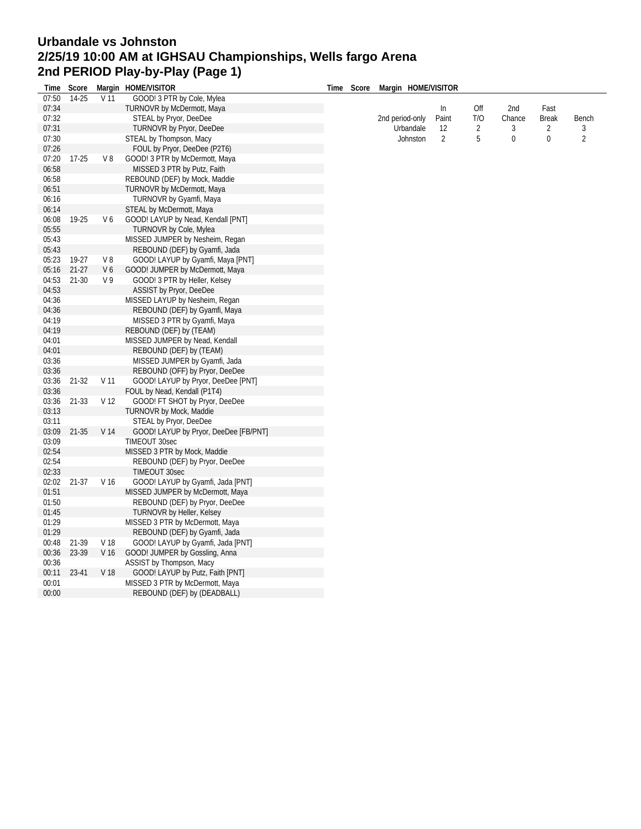## **Urbandale vs Johnston 2/25/19 10:00 AM at IGHSAU Championships, Wells fargo Arena 2nd PERIOD Play-by-Play (Page 1)**

| Time  | Score     |                 | Margin HOME/VISITOR                   | Time | Score | Margin HOME/VISITOR |                |                |        |                |                |
|-------|-----------|-----------------|---------------------------------------|------|-------|---------------------|----------------|----------------|--------|----------------|----------------|
| 07:50 | 14-25     | V <sub>11</sub> | GOOD! 3 PTR by Cole, Mylea            |      |       |                     |                |                |        |                |                |
| 07:34 |           |                 | TURNOVR by McDermott, Maya            |      |       |                     | In             | Off            | 2nd    | Fast           |                |
| 07:32 |           |                 | STEAL by Pryor, DeeDee                |      |       | 2nd period-only     | Paint          | T/O            | Chance | <b>Break</b>   | Bench          |
| 07:31 |           |                 | <b>TURNOVR by Pryor, DeeDee</b>       |      |       | Urbandale           | 12             | $\overline{2}$ | 3      | $\overline{2}$ | 3              |
| 07:30 |           |                 | STEAL by Thompson, Macy               |      |       | Johnston            | $\overline{2}$ | 5              | 0      | 0              | $\overline{2}$ |
| 07:26 |           |                 | FOUL by Pryor, DeeDee (P2T6)          |      |       |                     |                |                |        |                |                |
| 07:20 | $17-25$   | $V_8$           | GOOD! 3 PTR by McDermott, Maya        |      |       |                     |                |                |        |                |                |
| 06:58 |           |                 | MISSED 3 PTR by Putz, Faith           |      |       |                     |                |                |        |                |                |
| 06:58 |           |                 | REBOUND (DEF) by Mock, Maddie         |      |       |                     |                |                |        |                |                |
| 06:51 |           |                 | <b>TURNOVR by McDermott, Maya</b>     |      |       |                     |                |                |        |                |                |
| 06:16 |           |                 | TURNOVR by Gyamfi, Maya               |      |       |                     |                |                |        |                |                |
| 06:14 |           |                 | STEAL by McDermott, Maya              |      |       |                     |                |                |        |                |                |
| 06:08 | 19-25     | V6              | GOOD! LAYUP by Nead, Kendall [PNT]    |      |       |                     |                |                |        |                |                |
| 05:55 |           |                 | <b>TURNOVR by Cole, Mylea</b>         |      |       |                     |                |                |        |                |                |
| 05:43 |           |                 | MISSED JUMPER by Nesheim, Regan       |      |       |                     |                |                |        |                |                |
| 05:43 |           |                 | REBOUND (DEF) by Gyamfi, Jada         |      |       |                     |                |                |        |                |                |
| 05:23 | 19-27     | V8              | GOOD! LAYUP by Gyamfi, Maya [PNT]     |      |       |                     |                |                |        |                |                |
| 05:16 | $21-27$   | V6              | GOOD! JUMPER by McDermott, Maya       |      |       |                     |                |                |        |                |                |
| 04:53 | $21 - 30$ | V <sub>9</sub>  | GOOD! 3 PTR by Heller, Kelsey         |      |       |                     |                |                |        |                |                |
| 04:53 |           |                 | ASSIST by Pryor, DeeDee               |      |       |                     |                |                |        |                |                |
| 04:36 |           |                 | MISSED LAYUP by Nesheim, Regan        |      |       |                     |                |                |        |                |                |
| 04:36 |           |                 | REBOUND (DEF) by Gyamfi, Maya         |      |       |                     |                |                |        |                |                |
| 04:19 |           |                 | MISSED 3 PTR by Gyamfi, Maya          |      |       |                     |                |                |        |                |                |
| 04:19 |           |                 | REBOUND (DEF) by (TEAM)               |      |       |                     |                |                |        |                |                |
| 04:01 |           |                 | MISSED JUMPER by Nead, Kendall        |      |       |                     |                |                |        |                |                |
| 04:01 |           |                 | REBOUND (DEF) by (TEAM)               |      |       |                     |                |                |        |                |                |
| 03:36 |           |                 | MISSED JUMPER by Gyamfi, Jada         |      |       |                     |                |                |        |                |                |
| 03:36 |           |                 | REBOUND (OFF) by Pryor, DeeDee        |      |       |                     |                |                |        |                |                |
| 03:36 | 21-32     | V 11            | GOOD! LAYUP by Pryor, DeeDee [PNT]    |      |       |                     |                |                |        |                |                |
| 03:36 |           |                 | FOUL by Nead, Kendall (P1T4)          |      |       |                     |                |                |        |                |                |
| 03:36 | 21-33     | V <sub>12</sub> | GOOD! FT SHOT by Pryor, DeeDee        |      |       |                     |                |                |        |                |                |
| 03:13 |           |                 | <b>TURNOVR by Mock, Maddie</b>        |      |       |                     |                |                |        |                |                |
| 03:11 |           |                 | STEAL by Pryor, DeeDee                |      |       |                     |                |                |        |                |                |
| 03:09 | $21 - 35$ | V 14            | GOOD! LAYUP by Pryor, DeeDee [FB/PNT] |      |       |                     |                |                |        |                |                |
| 03:09 |           |                 | TIMEOUT 30sec                         |      |       |                     |                |                |        |                |                |
| 02:54 |           |                 | MISSED 3 PTR by Mock, Maddie          |      |       |                     |                |                |        |                |                |
| 02:54 |           |                 | REBOUND (DEF) by Pryor, DeeDee        |      |       |                     |                |                |        |                |                |
| 02:33 |           |                 | TIMEOUT 30sec                         |      |       |                     |                |                |        |                |                |
| 02:02 | $21-37$   | V 16            | GOOD! LAYUP by Gyamfi, Jada [PNT]     |      |       |                     |                |                |        |                |                |
| 01:51 |           |                 | MISSED JUMPER by McDermott, Maya      |      |       |                     |                |                |        |                |                |
| 01:50 |           |                 | REBOUND (DEF) by Pryor, DeeDee        |      |       |                     |                |                |        |                |                |
| 01:45 |           |                 | <b>TURNOVR by Heller, Kelsey</b>      |      |       |                     |                |                |        |                |                |
| 01:29 |           |                 | MISSED 3 PTR by McDermott, Maya       |      |       |                     |                |                |        |                |                |
| 01:29 |           |                 | REBOUND (DEF) by Gyamfi, Jada         |      |       |                     |                |                |        |                |                |
| 00:48 | 21-39     | V 18            | GOOD! LAYUP by Gyamfi, Jada [PNT]     |      |       |                     |                |                |        |                |                |
| 00:36 | 23-39     | V 16            | GOOD! JUMPER by Gossling, Anna        |      |       |                     |                |                |        |                |                |
| 00:36 |           |                 | ASSIST by Thompson, Macy              |      |       |                     |                |                |        |                |                |
| 00:11 | 23-41     | V 18            | GOOD! LAYUP by Putz, Faith [PNT]      |      |       |                     |                |                |        |                |                |
| 00:01 |           |                 | MISSED 3 PTR by McDermott, Maya       |      |       |                     |                |                |        |                |                |
| 00:00 |           |                 | REBOUND (DEF) by (DEADBALL)           |      |       |                     |                |                |        |                |                |
|       |           |                 |                                       |      |       |                     |                |                |        |                |                |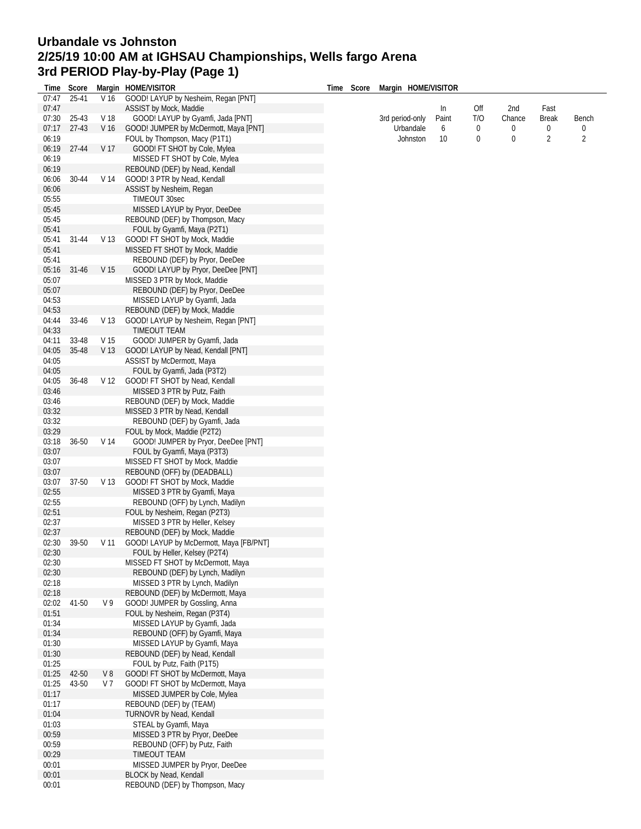## **Urbandale vs Johnston 2/25/19 10:00 AM at IGHSAU Championships, Wells fargo Arena 3rd PERIOD Play-by-Play (Page 1)**

| Time  | Score     |                 | Margin HOME/VISITOR                     | Time | Score           | Margin HOME/VISITOR |          |             |                   |            |                |
|-------|-----------|-----------------|-----------------------------------------|------|-----------------|---------------------|----------|-------------|-------------------|------------|----------------|
| 07:47 | 25-41     | V 16            | GOOD! LAYUP by Nesheim, Regan [PNT]     |      |                 |                     |          |             |                   |            |                |
| 07:47 |           |                 | ASSIST by Mock, Maddie                  |      |                 |                     | In       | Off         | 2nd               | Fast       |                |
| 07:30 | 25-43     | V 18            | GOOD! LAYUP by Gyamfi, Jada [PNT]       |      | 3rd period-only | Paint<br>6          | T/O<br>0 | Chance<br>0 | <b>Break</b><br>0 | Bench<br>0 |                |
| 07:17 | $27-43$   | V <sub>16</sub> | GOOD! JUMPER by McDermott, Maya [PNT]   |      | Urbandale       |                     |          |             |                   |            |                |
| 06:19 |           |                 | FOUL by Thompson, Macy (P1T1)           |      |                 | Johnston            | 10       | 0           | 0                 | 2          | $\overline{2}$ |
| 06:19 | 27-44     | V 17            | GOOD! FT SHOT by Cole, Mylea            |      |                 |                     |          |             |                   |            |                |
| 06:19 |           |                 | MISSED FT SHOT by Cole, Mylea           |      |                 |                     |          |             |                   |            |                |
| 06:19 |           |                 | REBOUND (DEF) by Nead, Kendall          |      |                 |                     |          |             |                   |            |                |
| 06:06 | 30-44     | V 14            | GOOD! 3 PTR by Nead, Kendall            |      |                 |                     |          |             |                   |            |                |
| 06:06 |           |                 | ASSIST by Nesheim, Regan                |      |                 |                     |          |             |                   |            |                |
| 05:55 |           |                 | <b>TIMEOUT 30sec</b>                    |      |                 |                     |          |             |                   |            |                |
|       |           |                 |                                         |      |                 |                     |          |             |                   |            |                |
| 05:45 |           |                 | MISSED LAYUP by Pryor, DeeDee           |      |                 |                     |          |             |                   |            |                |
| 05:45 |           |                 | REBOUND (DEF) by Thompson, Macy         |      |                 |                     |          |             |                   |            |                |
| 05:41 |           |                 | FOUL by Gyamfi, Maya (P2T1)             |      |                 |                     |          |             |                   |            |                |
| 05:41 | 31-44     | V <sub>13</sub> | GOOD! FT SHOT by Mock, Maddie           |      |                 |                     |          |             |                   |            |                |
| 05:41 |           |                 | MISSED FT SHOT by Mock, Maddie          |      |                 |                     |          |             |                   |            |                |
| 05:41 |           |                 | REBOUND (DEF) by Pryor, DeeDee          |      |                 |                     |          |             |                   |            |                |
| 05:16 | $31 - 46$ | V <sub>15</sub> | GOOD! LAYUP by Pryor, DeeDee [PNT]      |      |                 |                     |          |             |                   |            |                |
| 05:07 |           |                 | MISSED 3 PTR by Mock, Maddie            |      |                 |                     |          |             |                   |            |                |
| 05:07 |           |                 | REBOUND (DEF) by Pryor, DeeDee          |      |                 |                     |          |             |                   |            |                |
| 04:53 |           |                 | MISSED LAYUP by Gyamfi, Jada            |      |                 |                     |          |             |                   |            |                |
| 04:53 |           |                 | REBOUND (DEF) by Mock, Maddie           |      |                 |                     |          |             |                   |            |                |
| 04:44 | 33-46     | V 13            | GOOD! LAYUP by Nesheim, Regan [PNT]     |      |                 |                     |          |             |                   |            |                |
| 04:33 |           |                 | TIMEOUT TEAM                            |      |                 |                     |          |             |                   |            |                |
| 04:11 | 33-48     | V <sub>15</sub> | GOOD! JUMPER by Gyamfi, Jada            |      |                 |                     |          |             |                   |            |                |
| 04:05 | 35-48     | V 13            | GOOD! LAYUP by Nead, Kendall [PNT]      |      |                 |                     |          |             |                   |            |                |
| 04:05 |           |                 | ASSIST by McDermott, Maya               |      |                 |                     |          |             |                   |            |                |
| 04:05 |           |                 |                                         |      |                 |                     |          |             |                   |            |                |
|       |           |                 | FOUL by Gyamfi, Jada (P3T2)             |      |                 |                     |          |             |                   |            |                |
| 04:05 | 36-48     | V 12            | GOOD! FT SHOT by Nead, Kendall          |      |                 |                     |          |             |                   |            |                |
| 03:46 |           |                 | MISSED 3 PTR by Putz, Faith             |      |                 |                     |          |             |                   |            |                |
| 03:46 |           |                 | REBOUND (DEF) by Mock, Maddie           |      |                 |                     |          |             |                   |            |                |
| 03:32 |           |                 | MISSED 3 PTR by Nead, Kendall           |      |                 |                     |          |             |                   |            |                |
| 03:32 |           |                 | REBOUND (DEF) by Gyamfi, Jada           |      |                 |                     |          |             |                   |            |                |
| 03:29 |           |                 | FOUL by Mock, Maddie (P2T2)             |      |                 |                     |          |             |                   |            |                |
| 03:18 | $36 - 50$ | V 14            | GOOD! JUMPER by Pryor, DeeDee [PNT]     |      |                 |                     |          |             |                   |            |                |
| 03:07 |           |                 | FOUL by Gyamfi, Maya (P3T3)             |      |                 |                     |          |             |                   |            |                |
| 03:07 |           |                 | MISSED FT SHOT by Mock, Maddie          |      |                 |                     |          |             |                   |            |                |
| 03:07 |           |                 | REBOUND (OFF) by (DEADBALL)             |      |                 |                     |          |             |                   |            |                |
| 03:07 | 37-50     | V 13            | GOOD! FT SHOT by Mock, Maddie           |      |                 |                     |          |             |                   |            |                |
| 02:55 |           |                 | MISSED 3 PTR by Gyamfi, Maya            |      |                 |                     |          |             |                   |            |                |
| 02:55 |           |                 | REBOUND (OFF) by Lynch, Madilyn         |      |                 |                     |          |             |                   |            |                |
| 02:51 |           |                 | FOUL by Nesheim, Regan (P2T3)           |      |                 |                     |          |             |                   |            |                |
| 02:37 |           |                 | MISSED 3 PTR by Heller, Kelsey          |      |                 |                     |          |             |                   |            |                |
| 02:37 |           |                 | REBOUND (DEF) by Mock, Maddie           |      |                 |                     |          |             |                   |            |                |
| 02:30 | 39-50     | V 11            | GOOD! LAYUP by McDermott, Maya [FB/PNT] |      |                 |                     |          |             |                   |            |                |
| 02:30 |           |                 | FOUL by Heller, Kelsey (P2T4)           |      |                 |                     |          |             |                   |            |                |
| 02:30 |           |                 | MISSED FT SHOT by McDermott, Maya       |      |                 |                     |          |             |                   |            |                |
| 02:30 |           |                 | REBOUND (DEF) by Lynch, Madilyn         |      |                 |                     |          |             |                   |            |                |
|       |           |                 |                                         |      |                 |                     |          |             |                   |            |                |
| 02:18 |           |                 | MISSED 3 PTR by Lynch, Madilyn          |      |                 |                     |          |             |                   |            |                |
| 02:18 |           |                 | REBOUND (DEF) by McDermott, Maya        |      |                 |                     |          |             |                   |            |                |
| 02:02 | 41-50     | V 9             | GOOD! JUMPER by Gossling, Anna          |      |                 |                     |          |             |                   |            |                |
| 01:51 |           |                 | FOUL by Nesheim, Regan (P3T4)           |      |                 |                     |          |             |                   |            |                |
| 01:34 |           |                 | MISSED LAYUP by Gyamfi, Jada            |      |                 |                     |          |             |                   |            |                |
| 01:34 |           |                 | REBOUND (OFF) by Gyamfi, Maya           |      |                 |                     |          |             |                   |            |                |
| 01:30 |           |                 | MISSED LAYUP by Gyamfi, Maya            |      |                 |                     |          |             |                   |            |                |
| 01:30 |           |                 | REBOUND (DEF) by Nead, Kendall          |      |                 |                     |          |             |                   |            |                |
| 01:25 |           |                 | FOUL by Putz, Faith (P1T5)              |      |                 |                     |          |             |                   |            |                |
| 01:25 | 42-50     | V8              | GOOD! FT SHOT by McDermott, Maya        |      |                 |                     |          |             |                   |            |                |
| 01:25 | 43-50     | V <sub>7</sub>  | GOOD! FT SHOT by McDermott, Maya        |      |                 |                     |          |             |                   |            |                |
| 01:17 |           |                 | MISSED JUMPER by Cole, Mylea            |      |                 |                     |          |             |                   |            |                |
| 01:17 |           |                 | REBOUND (DEF) by (TEAM)                 |      |                 |                     |          |             |                   |            |                |
| 01:04 |           |                 | TURNOVR by Nead, Kendall                |      |                 |                     |          |             |                   |            |                |
| 01:03 |           |                 | STEAL by Gyamfi, Maya                   |      |                 |                     |          |             |                   |            |                |
| 00:59 |           |                 | MISSED 3 PTR by Pryor, DeeDee           |      |                 |                     |          |             |                   |            |                |
| 00:59 |           |                 | REBOUND (OFF) by Putz, Faith            |      |                 |                     |          |             |                   |            |                |
| 00:29 |           |                 | TIMEOUT TEAM                            |      |                 |                     |          |             |                   |            |                |
| 00:01 |           |                 | MISSED JUMPER by Pryor, DeeDee          |      |                 |                     |          |             |                   |            |                |
| 00:01 |           |                 | BLOCK by Nead, Kendall                  |      |                 |                     |          |             |                   |            |                |
| 00:01 |           |                 | REBOUND (DEF) by Thompson, Macy         |      |                 |                     |          |             |                   |            |                |
|       |           |                 |                                         |      |                 |                     |          |             |                   |            |                |